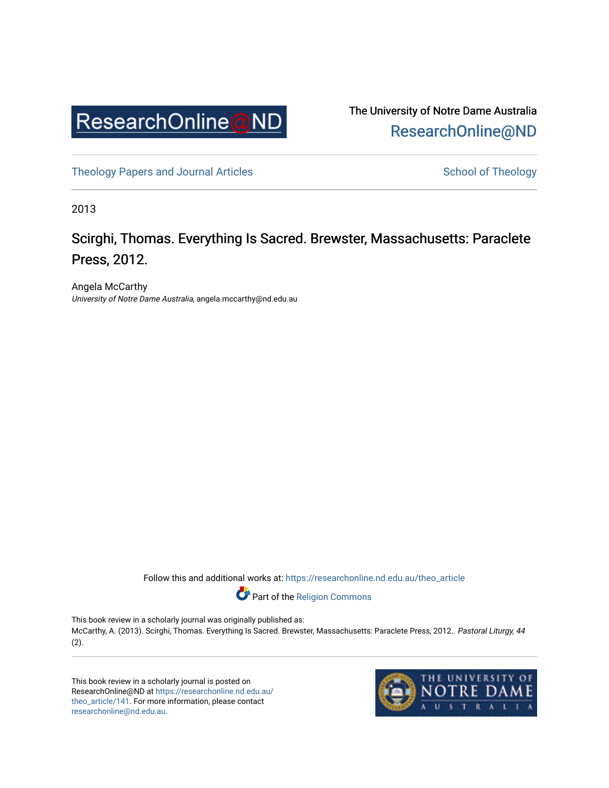

The University of Notre Dame Australia [ResearchOnline@ND](https://researchonline.nd.edu.au/) 

[Theology Papers and Journal Articles](https://researchonline.nd.edu.au/theo_article) and [School of Theology](https://researchonline.nd.edu.au/theo) School of Theology

2013

## Scirghi, Thomas. Everything Is Sacred. Brewster, Massachusetts: Paraclete Press, 2012.

Angela McCarthy University of Notre Dame Australia, angela.mccarthy@nd.edu.au

Follow this and additional works at: [https://researchonline.nd.edu.au/theo\\_article](https://researchonline.nd.edu.au/theo_article?utm_source=researchonline.nd.edu.au%2Ftheo_article%2F141&utm_medium=PDF&utm_campaign=PDFCoverPages) 

Part of the [Religion Commons](http://network.bepress.com/hgg/discipline/538?utm_source=researchonline.nd.edu.au%2Ftheo_article%2F141&utm_medium=PDF&utm_campaign=PDFCoverPages) 

This book review in a scholarly journal was originally published as: McCarthy, A. (2013). Scirghi, Thomas. Everything Is Sacred. Brewster, Massachusetts: Paraclete Press, 2012.. Pastoral Liturgy, 44 (2).

This book review in a scholarly journal is posted on ResearchOnline@ND at [https://researchonline.nd.edu.au/](https://researchonline.nd.edu.au/theo_article/141) [theo\\_article/141](https://researchonline.nd.edu.au/theo_article/141). For more information, please contact [researchonline@nd.edu.au.](mailto:researchonline@nd.edu.au)

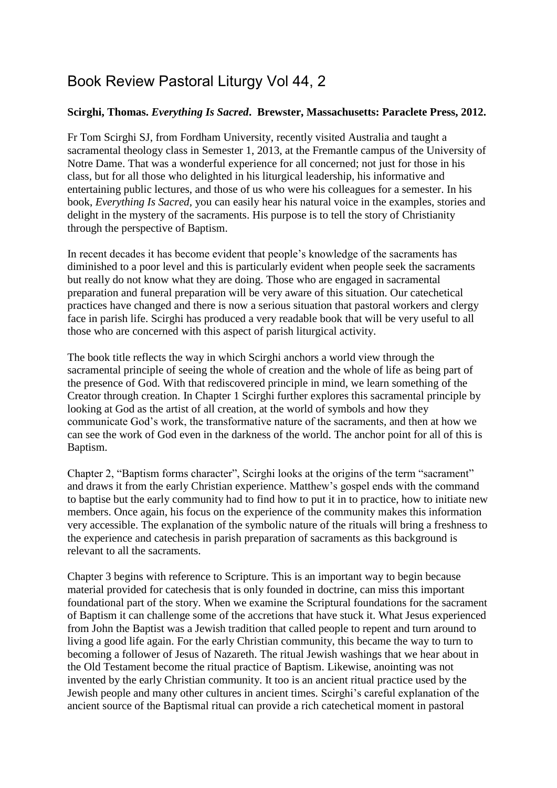## Book Review Pastoral Liturgy Vol 44, 2

## **Scirghi, Thomas.** *Everything Is Sacred***. Brewster, Massachusetts: Paraclete Press, 2012.**

Fr Tom Scirghi SJ, from Fordham University, recently visited Australia and taught a sacramental theology class in Semester 1, 2013, at the Fremantle campus of the University of Notre Dame. That was a wonderful experience for all concerned; not just for those in his class, but for all those who delighted in his liturgical leadership, his informative and entertaining public lectures, and those of us who were his colleagues for a semester. In his book, *Everything Is Sacred,* you can easily hear his natural voice in the examples, stories and delight in the mystery of the sacraments. His purpose is to tell the story of Christianity through the perspective of Baptism.

In recent decades it has become evident that people's knowledge of the sacraments has diminished to a poor level and this is particularly evident when people seek the sacraments but really do not know what they are doing. Those who are engaged in sacramental preparation and funeral preparation will be very aware of this situation. Our catechetical practices have changed and there is now a serious situation that pastoral workers and clergy face in parish life. Scirghi has produced a very readable book that will be very useful to all those who are concerned with this aspect of parish liturgical activity.

The book title reflects the way in which Scirghi anchors a world view through the sacramental principle of seeing the whole of creation and the whole of life as being part of the presence of God. With that rediscovered principle in mind, we learn something of the Creator through creation. In Chapter 1 Scirghi further explores this sacramental principle by looking at God as the artist of all creation, at the world of symbols and how they communicate God's work, the transformative nature of the sacraments, and then at how we can see the work of God even in the darkness of the world. The anchor point for all of this is Baptism.

Chapter 2, "Baptism forms character", Scirghi looks at the origins of the term "sacrament" and draws it from the early Christian experience. Matthew's gospel ends with the command to baptise but the early community had to find how to put it in to practice, how to initiate new members. Once again, his focus on the experience of the community makes this information very accessible. The explanation of the symbolic nature of the rituals will bring a freshness to the experience and catechesis in parish preparation of sacraments as this background is relevant to all the sacraments.

Chapter 3 begins with reference to Scripture. This is an important way to begin because material provided for catechesis that is only founded in doctrine, can miss this important foundational part of the story. When we examine the Scriptural foundations for the sacrament of Baptism it can challenge some of the accretions that have stuck it. What Jesus experienced from John the Baptist was a Jewish tradition that called people to repent and turn around to living a good life again. For the early Christian community, this became the way to turn to becoming a follower of Jesus of Nazareth. The ritual Jewish washings that we hear about in the Old Testament become the ritual practice of Baptism. Likewise, anointing was not invented by the early Christian community. It too is an ancient ritual practice used by the Jewish people and many other cultures in ancient times. Scirghi's careful explanation of the ancient source of the Baptismal ritual can provide a rich catechetical moment in pastoral